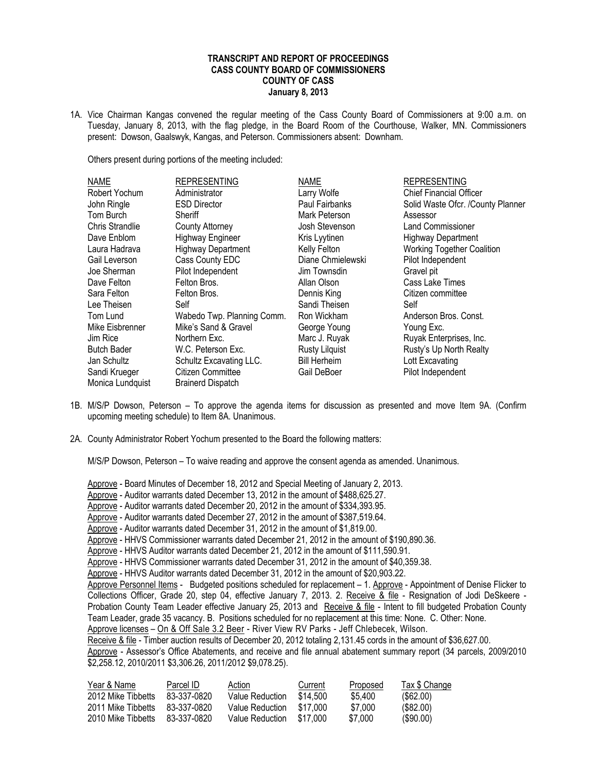## **TRANSCRIPT AND REPORT OF PROCEEDINGS CASS COUNTY BOARD OF COMMISSIONERS COUNTY OF CASS January 8, 2013**

1A. Vice Chairman Kangas convened the regular meeting of the Cass County Board of Commissioners at 9:00 a.m. on Tuesday, January 8, 2013, with the flag pledge, in the Board Room of the Courthouse, Walker, MN. Commissioners present: Dowson, Gaalswyk, Kangas, and Peterson. Commissioners absent: Downham.

Others present during portions of the meeting included:

| Administrator<br>Larry Wolfe<br><b>Chief Financial Officer</b><br><b>ESD Director</b><br>Paul Fairbanks<br>Solid Waste Ofcr. /County Planner<br>Mark Peterson<br>Sheriff<br>Assessor<br><b>County Attorney</b><br>Josh Stevenson<br><b>Land Commissioner</b><br><b>Highway Engineer</b><br>Kris Lyytinen<br><b>Highway Department</b><br><b>Working Together Coalition</b><br><b>Highway Department</b><br>Kelly Felton<br>Cass County EDC<br>Pilot Independent<br>Diane Chmielewski<br>Pilot Independent<br>Gravel pit<br>Jim Townsdin<br>Felton Bros.<br>Allan Olson<br>Cass Lake Times<br>Felton Bros.<br>Dennis King<br>Citizen committee<br>Sandi Theisen<br>Self<br>Self<br>Wabedo Twp. Planning Comm.<br>Anderson Bros, Const.<br>Ron Wickham<br>Mike's Sand & Gravel<br>George Young<br>Young Exc.<br>Marc J. Ruyak<br>Ruyak Enterprises, Inc.<br>Northern Exc.<br><b>Rusty Lilguist</b><br>Rusty's Up North Realty<br>W.C. Peterson Exc.<br>Schultz Excavating LLC.<br><b>Bill Herheim</b><br>Lott Excavating<br>Citizen Committee<br>Pilot Independent<br>Gail DeBoer<br><b>Brainerd Dispatch</b> | <b>NAME</b>        | <b>REPRESENTING</b> | <b>NAME</b> | <b>REPRESENTING</b> |
|-------------------------------------------------------------------------------------------------------------------------------------------------------------------------------------------------------------------------------------------------------------------------------------------------------------------------------------------------------------------------------------------------------------------------------------------------------------------------------------------------------------------------------------------------------------------------------------------------------------------------------------------------------------------------------------------------------------------------------------------------------------------------------------------------------------------------------------------------------------------------------------------------------------------------------------------------------------------------------------------------------------------------------------------------------------------------------------------------------------|--------------------|---------------------|-------------|---------------------|
|                                                                                                                                                                                                                                                                                                                                                                                                                                                                                                                                                                                                                                                                                                                                                                                                                                                                                                                                                                                                                                                                                                             | Robert Yochum      |                     |             |                     |
|                                                                                                                                                                                                                                                                                                                                                                                                                                                                                                                                                                                                                                                                                                                                                                                                                                                                                                                                                                                                                                                                                                             | John Ringle        |                     |             |                     |
|                                                                                                                                                                                                                                                                                                                                                                                                                                                                                                                                                                                                                                                                                                                                                                                                                                                                                                                                                                                                                                                                                                             | Tom Burch          |                     |             |                     |
|                                                                                                                                                                                                                                                                                                                                                                                                                                                                                                                                                                                                                                                                                                                                                                                                                                                                                                                                                                                                                                                                                                             | Chris Strandlie    |                     |             |                     |
|                                                                                                                                                                                                                                                                                                                                                                                                                                                                                                                                                                                                                                                                                                                                                                                                                                                                                                                                                                                                                                                                                                             | Dave Enblom        |                     |             |                     |
|                                                                                                                                                                                                                                                                                                                                                                                                                                                                                                                                                                                                                                                                                                                                                                                                                                                                                                                                                                                                                                                                                                             | Laura Hadrava      |                     |             |                     |
|                                                                                                                                                                                                                                                                                                                                                                                                                                                                                                                                                                                                                                                                                                                                                                                                                                                                                                                                                                                                                                                                                                             | Gail Leverson      |                     |             |                     |
|                                                                                                                                                                                                                                                                                                                                                                                                                                                                                                                                                                                                                                                                                                                                                                                                                                                                                                                                                                                                                                                                                                             | Joe Sherman        |                     |             |                     |
|                                                                                                                                                                                                                                                                                                                                                                                                                                                                                                                                                                                                                                                                                                                                                                                                                                                                                                                                                                                                                                                                                                             | Dave Felton        |                     |             |                     |
|                                                                                                                                                                                                                                                                                                                                                                                                                                                                                                                                                                                                                                                                                                                                                                                                                                                                                                                                                                                                                                                                                                             | Sara Felton        |                     |             |                     |
|                                                                                                                                                                                                                                                                                                                                                                                                                                                                                                                                                                                                                                                                                                                                                                                                                                                                                                                                                                                                                                                                                                             | Lee Theisen        |                     |             |                     |
|                                                                                                                                                                                                                                                                                                                                                                                                                                                                                                                                                                                                                                                                                                                                                                                                                                                                                                                                                                                                                                                                                                             | Tom Lund           |                     |             |                     |
|                                                                                                                                                                                                                                                                                                                                                                                                                                                                                                                                                                                                                                                                                                                                                                                                                                                                                                                                                                                                                                                                                                             | Mike Eisbrenner    |                     |             |                     |
|                                                                                                                                                                                                                                                                                                                                                                                                                                                                                                                                                                                                                                                                                                                                                                                                                                                                                                                                                                                                                                                                                                             | Jim Rice           |                     |             |                     |
|                                                                                                                                                                                                                                                                                                                                                                                                                                                                                                                                                                                                                                                                                                                                                                                                                                                                                                                                                                                                                                                                                                             | <b>Butch Bader</b> |                     |             |                     |
|                                                                                                                                                                                                                                                                                                                                                                                                                                                                                                                                                                                                                                                                                                                                                                                                                                                                                                                                                                                                                                                                                                             | Jan Schultz        |                     |             |                     |
|                                                                                                                                                                                                                                                                                                                                                                                                                                                                                                                                                                                                                                                                                                                                                                                                                                                                                                                                                                                                                                                                                                             | Sandi Krueger      |                     |             |                     |
|                                                                                                                                                                                                                                                                                                                                                                                                                                                                                                                                                                                                                                                                                                                                                                                                                                                                                                                                                                                                                                                                                                             | Monica Lundquist   |                     |             |                     |

- 1B. M/S/P Dowson, Peterson To approve the agenda items for discussion as presented and move Item 9A. (Confirm upcoming meeting schedule) to Item 8A. Unanimous.
- 2A. County Administrator Robert Yochum presented to the Board the following matters:

M/S/P Dowson, Peterson – To waive reading and approve the consent agenda as amended. Unanimous.

Approve - Board Minutes of December 18, 2012 and Special Meeting of January 2, 2013. Approve - Auditor warrants dated December 13, 2012 in the amount of \$488,625.27. Approve - Auditor warrants dated December 20, 2012 in the amount of \$334,393.95. Approve - Auditor warrants dated December 27, 2012 in the amount of \$387,519.64. Approve - Auditor warrants dated December 31, 2012 in the amount of \$1,819.00. Approve - HHVS Commissioner warrants dated December 21, 2012 in the amount of \$190,890.36. Approve - HHVS Auditor warrants dated December 21, 2012 in the amount of \$111,590.91. Approve - HHVS Commissioner warrants dated December 31, 2012 in the amount of \$40,359.38. Approve - HHVS Auditor warrants dated December 31, 2012 in the amount of \$20,903.22. Approve Personnel Items - Budgeted positions scheduled for replacement - 1. Approve - Appointment of Denise Flicker to Collections Officer, Grade 20, step 04, effective January 7, 2013. 2. Receive & file - Resignation of Jodi DeSkeere -Probation County Team Leader effective January 25, 2013 and Receive & file - Intent to fill budgeted Probation County Team Leader, grade 35 vacancy. B. Positions scheduled for no replacement at this time: None. C. Other: None. Approve licenses – On & Off Sale 3.2 Beer - River View RV Parks - Jeff Chlebecek, Wilson. Receive & file - Timber auction results of December 20, 2012 totaling 2,131.45 cords in the amount of \$36,627.00. Approve - Assessor's Office Abatements, and receive and file annual abatement summary report (34 parcels, 2009/2010 \$2,258.12, 2010/2011 \$3,306.26, 2011/2012 \$9,078.25).

| Year & Name        | Parcel ID   | Action          | Current  | Proposed | <b>Tax \$ Change</b> |
|--------------------|-------------|-----------------|----------|----------|----------------------|
| 2012 Mike Tibbetts | 83-337-0820 | Value Reduction | \$14,500 | \$5.400  | (S62.00)             |
| 2011 Mike Tibbetts | 83-337-0820 | Value Reduction | \$17.000 | \$7,000  | (S82.00)             |
| 2010 Mike Tibbetts | 83-337-0820 | Value Reduction | \$17.000 | \$7,000  | $($ \$90.00)         |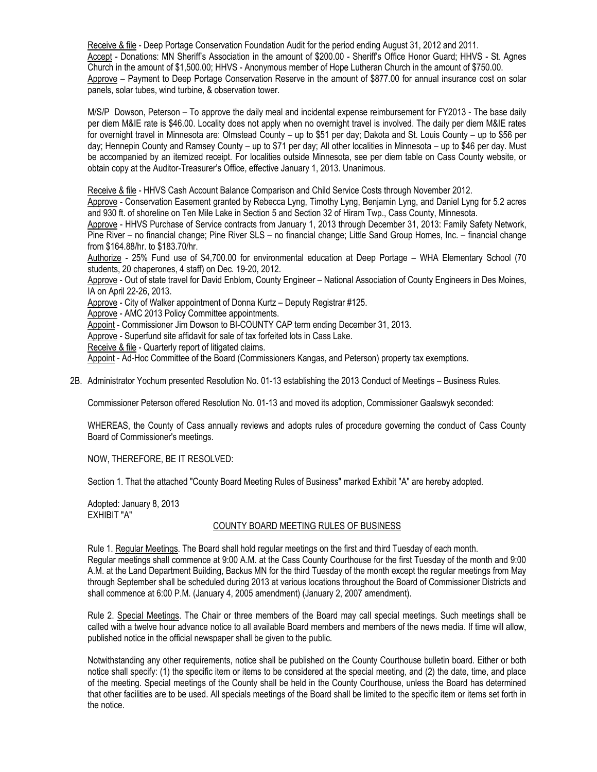Receive & file - Deep Portage Conservation Foundation Audit for the period ending August 31, 2012 and 2011. Accept - Donations: MN Sheriff's Association in the amount of \$200.00 - Sheriff's Office Honor Guard; HHVS - St. Agnes Church in the amount of \$1,500.00; HHVS - Anonymous member of Hope Lutheran Church in the amount of \$750.00. Approve – Payment to Deep Portage Conservation Reserve in the amount of \$877.00 for annual insurance cost on solar panels, solar tubes, wind turbine, & observation tower.

M/S/P Dowson, Peterson – To approve the daily meal and incidental expense reimbursement for FY2013 - The base daily per diem M&IE rate is \$46.00. Locality does not apply when no overnight travel is involved. The daily per diem M&IE rates for overnight travel in Minnesota are: Olmstead County – up to \$51 per day; Dakota and St. Louis County – up to \$56 per day; Hennepin County and Ramsey County – up to \$71 per day; All other localities in Minnesota – up to \$46 per day. Must be accompanied by an itemized receipt. For localities outside Minnesota, see per diem table on Cass County website, or obtain copy at the Auditor-Treasurer's Office, effective January 1, 2013. Unanimous.

Receive & file - HHVS Cash Account Balance Comparison and Child Service Costs through November 2012.

Approve - Conservation Easement granted by Rebecca Lyng, Timothy Lyng, Benjamin Lyng, and Daniel Lyng for 5.2 acres and 930 ft. of shoreline on Ten Mile Lake in Section 5 and Section 32 of Hiram Twp., Cass County, Minnesota.

Approve - HHVS Purchase of Service contracts from January 1, 2013 through December 31, 2013: Family Safety Network, Pine River – no financial change; Pine River SLS – no financial change; Little Sand Group Homes, Inc. – financial change from \$164.88/hr. to \$183.70/hr.

Authorize - 25% Fund use of \$4,700.00 for environmental education at Deep Portage – WHA Elementary School (70 students, 20 chaperones, 4 staff) on Dec. 19-20, 2012.

Approve - Out of state travel for David Enblom, County Engineer – National Association of County Engineers in Des Moines, IA on April 22-26, 2013.

Approve - City of Walker appointment of Donna Kurtz – Deputy Registrar #125.

Approve - AMC 2013 Policy Committee appointments.

Appoint - Commissioner Jim Dowson to BI-COUNTY CAP term ending December 31, 2013.

Approve - Superfund site affidavit for sale of tax forfeited lots in Cass Lake.

Receive & file - Quarterly report of litigated claims.

Appoint - Ad-Hoc Committee of the Board (Commissioners Kangas, and Peterson) property tax exemptions.

2B. Administrator Yochum presented Resolution No. 01-13 establishing the 2013 Conduct of Meetings – Business Rules.

Commissioner Peterson offered Resolution No. 01-13 and moved its adoption, Commissioner Gaalswyk seconded:

WHEREAS, the County of Cass annually reviews and adopts rules of procedure governing the conduct of Cass County Board of Commissioner's meetings.

NOW, THEREFORE, BE IT RESOLVED:

Section 1. That the attached "County Board Meeting Rules of Business" marked Exhibit "A" are hereby adopted.

Adopted: January 8, 2013 EXHIBIT "A"

# COUNTY BOARD MEETING RULES OF BUSINESS

Rule 1. Regular Meetings. The Board shall hold regular meetings on the first and third Tuesday of each month. Regular meetings shall commence at 9:00 A.M. at the Cass County Courthouse for the first Tuesday of the month and 9:00 A.M. at the Land Department Building, Backus MN for the third Tuesday of the month except the regular meetings from May through September shall be scheduled during 2013 at various locations throughout the Board of Commissioner Districts and shall commence at 6:00 P.M. (January 4, 2005 amendment) (January 2, 2007 amendment).

Rule 2. Special Meetings. The Chair or three members of the Board may call special meetings. Such meetings shall be called with a twelve hour advance notice to all available Board members and members of the news media. If time will allow, published notice in the official newspaper shall be given to the public.

Notwithstanding any other requirements, notice shall be published on the County Courthouse bulletin board. Either or both notice shall specify: (1) the specific item or items to be considered at the special meeting, and (2) the date, time, and place of the meeting. Special meetings of the County shall be held in the County Courthouse, unless the Board has determined that other facilities are to be used. All specials meetings of the Board shall be limited to the specific item or items set forth in the notice.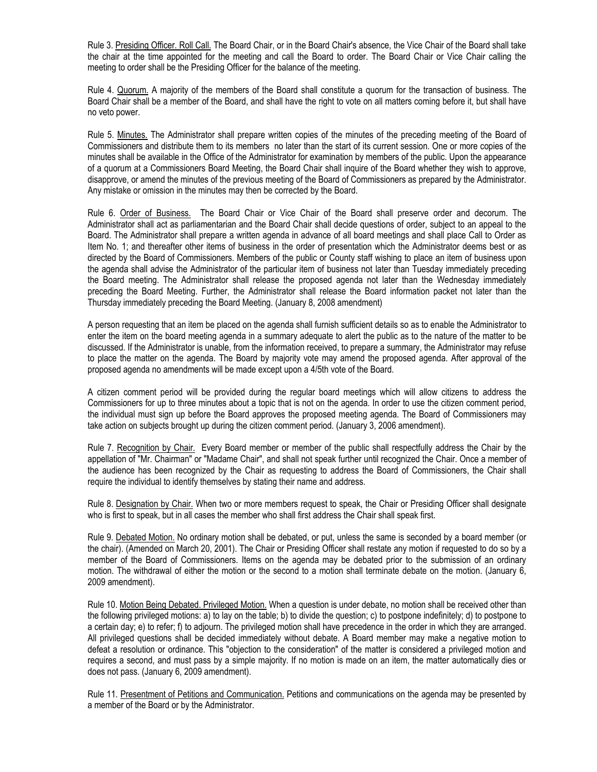Rule 3. Presiding Officer. Roll Call. The Board Chair, or in the Board Chair's absence, the Vice Chair of the Board shall take the chair at the time appointed for the meeting and call the Board to order. The Board Chair or Vice Chair calling the meeting to order shall be the Presiding Officer for the balance of the meeting.

Rule 4. Quorum. A majority of the members of the Board shall constitute a quorum for the transaction of business. The Board Chair shall be a member of the Board, and shall have the right to vote on all matters coming before it, but shall have no veto power.

Rule 5. Minutes. The Administrator shall prepare written copies of the minutes of the preceding meeting of the Board of Commissioners and distribute them to its members no later than the start of its current session. One or more copies of the minutes shall be available in the Office of the Administrator for examination by members of the public. Upon the appearance of a quorum at a Commissioners Board Meeting, the Board Chair shall inquire of the Board whether they wish to approve, disapprove, or amend the minutes of the previous meeting of the Board of Commissioners as prepared by the Administrator. Any mistake or omission in the minutes may then be corrected by the Board.

Rule 6. Order of Business. The Board Chair or Vice Chair of the Board shall preserve order and decorum. The Administrator shall act as parliamentarian and the Board Chair shall decide questions of order, subject to an appeal to the Board. The Administrator shall prepare a written agenda in advance of all board meetings and shall place Call to Order as Item No. 1; and thereafter other items of business in the order of presentation which the Administrator deems best or as directed by the Board of Commissioners. Members of the public or County staff wishing to place an item of business upon the agenda shall advise the Administrator of the particular item of business not later than Tuesday immediately preceding the Board meeting. The Administrator shall release the proposed agenda not later than the Wednesday immediately preceding the Board Meeting. Further, the Administrator shall release the Board information packet not later than the Thursday immediately preceding the Board Meeting. (January 8, 2008 amendment)

A person requesting that an item be placed on the agenda shall furnish sufficient details so as to enable the Administrator to enter the item on the board meeting agenda in a summary adequate to alert the public as to the nature of the matter to be discussed. If the Administrator is unable, from the information received, to prepare a summary, the Administrator may refuse to place the matter on the agenda. The Board by majority vote may amend the proposed agenda. After approval of the proposed agenda no amendments will be made except upon a 4/5th vote of the Board.

A citizen comment period will be provided during the regular board meetings which will allow citizens to address the Commissioners for up to three minutes about a topic that is not on the agenda. In order to use the citizen comment period, the individual must sign up before the Board approves the proposed meeting agenda. The Board of Commissioners may take action on subjects brought up during the citizen comment period. (January 3, 2006 amendment).

Rule 7. Recognition by Chair. Every Board member or member of the public shall respectfully address the Chair by the appellation of "Mr. Chairman" or "Madame Chair", and shall not speak further until recognized the Chair. Once a member of the audience has been recognized by the Chair as requesting to address the Board of Commissioners, the Chair shall require the individual to identify themselves by stating their name and address.

Rule 8. Designation by Chair. When two or more members request to speak, the Chair or Presiding Officer shall designate who is first to speak, but in all cases the member who shall first address the Chair shall speak first.

Rule 9. Debated Motion. No ordinary motion shall be debated, or put, unless the same is seconded by a board member (or the chair). (Amended on March 20, 2001). The Chair or Presiding Officer shall restate any motion if requested to do so by a member of the Board of Commissioners. Items on the agenda may be debated prior to the submission of an ordinary motion. The withdrawal of either the motion or the second to a motion shall terminate debate on the motion. (January 6, 2009 amendment).

Rule 10. Motion Being Debated. Privileged Motion. When a question is under debate, no motion shall be received other than the following privileged motions: a) to lay on the table; b) to divide the question; c) to postpone indefinitely; d) to postpone to a certain day; e) to refer; f) to adjourn. The privileged motion shall have precedence in the order in which they are arranged. All privileged questions shall be decided immediately without debate. A Board member may make a negative motion to defeat a resolution or ordinance. This "objection to the consideration" of the matter is considered a privileged motion and requires a second, and must pass by a simple majority. If no motion is made on an item, the matter automatically dies or does not pass. (January 6, 2009 amendment).

Rule 11. Presentment of Petitions and Communication. Petitions and communications on the agenda may be presented by a member of the Board or by the Administrator.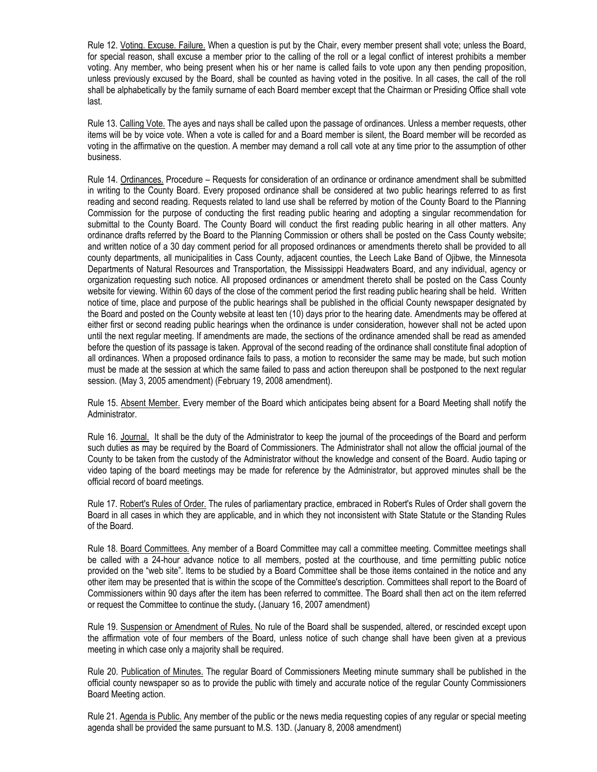Rule 12. Voting. Excuse. Failure. When a question is put by the Chair, every member present shall vote; unless the Board, for special reason, shall excuse a member prior to the calling of the roll or a legal conflict of interest prohibits a member voting. Any member, who being present when his or her name is called fails to vote upon any then pending proposition, unless previously excused by the Board, shall be counted as having voted in the positive. In all cases, the call of the roll shall be alphabetically by the family surname of each Board member except that the Chairman or Presiding Office shall vote last.

Rule 13. Calling Vote. The ayes and nays shall be called upon the passage of ordinances. Unless a member requests, other items will be by voice vote. When a vote is called for and a Board member is silent, the Board member will be recorded as voting in the affirmative on the question. A member may demand a roll call vote at any time prior to the assumption of other business.

Rule 14. Ordinances. Procedure – Requests for consideration of an ordinance or ordinance amendment shall be submitted in writing to the County Board. Every proposed ordinance shall be considered at two public hearings referred to as first reading and second reading. Requests related to land use shall be referred by motion of the County Board to the Planning Commission for the purpose of conducting the first reading public hearing and adopting a singular recommendation for submittal to the County Board. The County Board will conduct the first reading public hearing in all other matters. Any ordinance drafts referred by the Board to the Planning Commission or others shall be posted on the Cass County website; and written notice of a 30 day comment period for all proposed ordinances or amendments thereto shall be provided to all county departments, all municipalities in Cass County, adjacent counties, the Leech Lake Band of Ojibwe, the Minnesota Departments of Natural Resources and Transportation, the Mississippi Headwaters Board, and any individual, agency or organization requesting such notice. All proposed ordinances or amendment thereto shall be posted on the Cass County website for viewing. Within 60 days of the close of the comment period the first reading public hearing shall be held. Written notice of time, place and purpose of the public hearings shall be published in the official County newspaper designated by the Board and posted on the County website at least ten (10) days prior to the hearing date. Amendments may be offered at either first or second reading public hearings when the ordinance is under consideration, however shall not be acted upon until the next regular meeting. If amendments are made, the sections of the ordinance amended shall be read as amended before the question of its passage is taken. Approval of the second reading of the ordinance shall constitute final adoption of all ordinances. When a proposed ordinance fails to pass, a motion to reconsider the same may be made, but such motion must be made at the session at which the same failed to pass and action thereupon shall be postponed to the next regular session. (May 3, 2005 amendment) (February 19, 2008 amendment).

Rule 15. Absent Member. Every member of the Board which anticipates being absent for a Board Meeting shall notify the Administrator.

Rule 16. Journal. It shall be the duty of the Administrator to keep the journal of the proceedings of the Board and perform such duties as may be required by the Board of Commissioners. The Administrator shall not allow the official journal of the County to be taken from the custody of the Administrator without the knowledge and consent of the Board. Audio taping or video taping of the board meetings may be made for reference by the Administrator, but approved minutes shall be the official record of board meetings.

Rule 17. Robert's Rules of Order. The rules of parliamentary practice, embraced in Robert's Rules of Order shall govern the Board in all cases in which they are applicable, and in which they not inconsistent with State Statute or the Standing Rules of the Board.

Rule 18. Board Committees. Any member of a Board Committee may call a committee meeting. Committee meetings shall be called with a 24-hour advance notice to all members, posted at the courthouse, and time permitting public notice provided on the "web site". Items to be studied by a Board Committee shall be those items contained in the notice and any other item may be presented that is within the scope of the Committee's description. Committees shall report to the Board of Commissioners within 90 days after the item has been referred to committee. The Board shall then act on the item referred or request the Committee to continue the study**.** (January 16, 2007 amendment)

Rule 19. Suspension or Amendment of Rules. No rule of the Board shall be suspended, altered, or rescinded except upon the affirmation vote of four members of the Board, unless notice of such change shall have been given at a previous meeting in which case only a majority shall be required.

Rule 20. Publication of Minutes. The regular Board of Commissioners Meeting minute summary shall be published in the official county newspaper so as to provide the public with timely and accurate notice of the regular County Commissioners Board Meeting action.

Rule 21. Agenda is Public. Any member of the public or the news media requesting copies of any regular or special meeting agenda shall be provided the same pursuant to M.S. 13D. (January 8, 2008 amendment)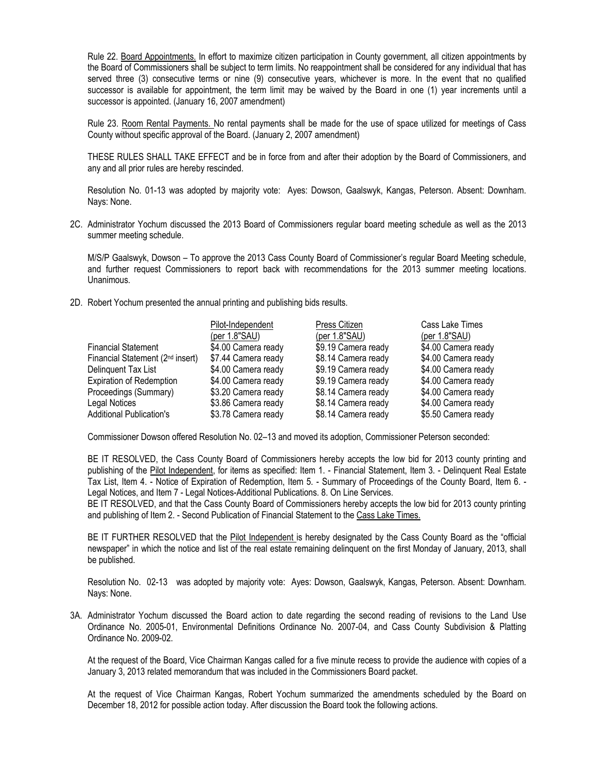Rule 22. Board Appointments. In effort to maximize citizen participation in County government, all citizen appointments by the Board of Commissioners shall be subject to term limits. No reappointment shall be considered for any individual that has served three (3) consecutive terms or nine (9) consecutive years, whichever is more. In the event that no qualified successor is available for appointment, the term limit may be waived by the Board in one (1) year increments until a successor is appointed. (January 16, 2007 amendment)

Rule 23. Room Rental Payments. No rental payments shall be made for the use of space utilized for meetings of Cass County without specific approval of the Board. (January 2, 2007 amendment)

THESE RULES SHALL TAKE EFFECT and be in force from and after their adoption by the Board of Commissioners, and any and all prior rules are hereby rescinded.

Resolution No. 01-13 was adopted by majority vote: Ayes: Dowson, Gaalswyk, Kangas, Peterson. Absent: Downham. Nays: None.

2C. Administrator Yochum discussed the 2013 Board of Commissioners regular board meeting schedule as well as the 2013 summer meeting schedule.

M/S/P Gaalswyk, Dowson – To approve the 2013 Cass County Board of Commissioner's regular Board Meeting schedule, and further request Commissioners to report back with recommendations for the 2013 summer meeting locations. Unanimous.

2D. Robert Yochum presented the annual printing and publishing bids results.

|                                              | Pilot-Independent   | Press Citizen       | Cass Lake Times     |
|----------------------------------------------|---------------------|---------------------|---------------------|
|                                              | (per 1.8"SAU)       | (per 1.8"SAU)       | (per 1.8"SAU)       |
| <b>Financial Statement</b>                   | \$4.00 Camera ready | \$9.19 Camera ready | \$4.00 Camera ready |
| Financial Statement (2 <sup>nd</sup> insert) | \$7.44 Camera ready | \$8.14 Camera ready | \$4.00 Camera ready |
| Delinguent Tax List                          | \$4.00 Camera ready | \$9.19 Camera ready | \$4.00 Camera ready |
| <b>Expiration of Redemption</b>              | \$4.00 Camera ready | \$9.19 Camera ready | \$4.00 Camera ready |
| Proceedings (Summary)                        | \$3.20 Camera ready | \$8.14 Camera ready | \$4.00 Camera ready |
| Legal Notices                                | \$3.86 Camera ready | \$8.14 Camera ready | \$4.00 Camera ready |
| <b>Additional Publication's</b>              | \$3.78 Camera ready | \$8.14 Camera ready | \$5.50 Camera ready |

Commissioner Dowson offered Resolution No. 02–13 and moved its adoption, Commissioner Peterson seconded:

BE IT RESOLVED, the Cass County Board of Commissioners hereby accepts the low bid for 2013 county printing and publishing of the Pilot Independent, for items as specified: Item 1. - Financial Statement, Item 3. - Delinquent Real Estate Tax List, Item 4. - Notice of Expiration of Redemption, Item 5. - Summary of Proceedings of the County Board, Item 6. - Legal Notices, and Item 7 - Legal Notices-Additional Publications. 8. On Line Services.

BE IT RESOLVED, and that the Cass County Board of Commissioners hereby accepts the low bid for 2013 county printing and publishing of Item 2. - Second Publication of Financial Statement to the Cass Lake Times.

BE IT FURTHER RESOLVED that the Pilot Independent is hereby designated by the Cass County Board as the "official newspaper" in which the notice and list of the real estate remaining delinquent on the first Monday of January, 2013, shall be published.

Resolution No. 02-13 was adopted by majority vote: Ayes: Dowson, Gaalswyk, Kangas, Peterson. Absent: Downham. Nays: None.

3A. Administrator Yochum discussed the Board action to date regarding the second reading of revisions to the Land Use Ordinance No. 2005-01, Environmental Definitions Ordinance No. 2007-04, and Cass County Subdivision & Platting Ordinance No. 2009-02.

At the request of the Board, Vice Chairman Kangas called for a five minute recess to provide the audience with copies of a January 3, 2013 related memorandum that was included in the Commissioners Board packet.

At the request of Vice Chairman Kangas, Robert Yochum summarized the amendments scheduled by the Board on December 18, 2012 for possible action today. After discussion the Board took the following actions.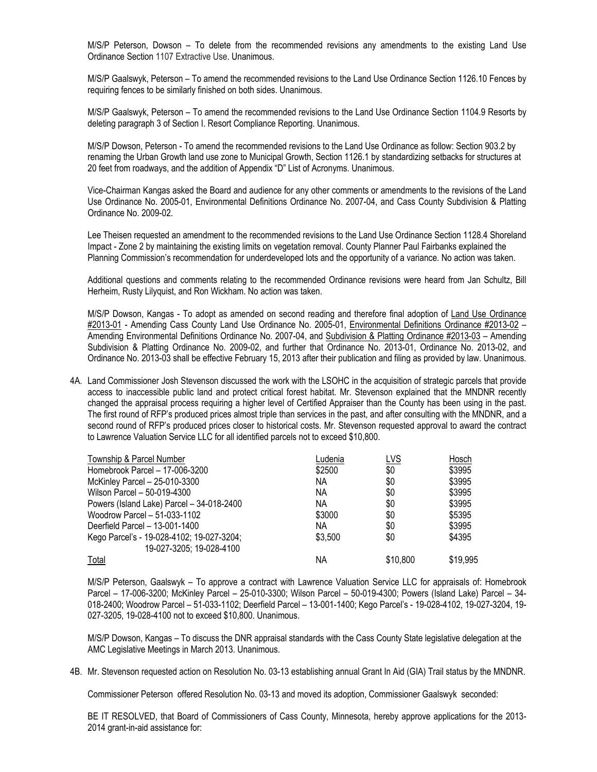M/S/P Peterson, Dowson – To delete from the recommended revisions any amendments to the existing Land Use Ordinance Section 1107 Extractive Use. Unanimous.

M/S/P Gaalswyk, Peterson – To amend the recommended revisions to the Land Use Ordinance Section 1126.10 Fences by requiring fences to be similarly finished on both sides. Unanimous.

M/S/P Gaalswyk, Peterson – To amend the recommended revisions to the Land Use Ordinance Section 1104.9 Resorts by deleting paragraph 3 of Section I. Resort Compliance Reporting. Unanimous.

M/S/P Dowson, Peterson - To amend the recommended revisions to the Land Use Ordinance as follow: Section 903.2 by renaming the Urban Growth land use zone to Municipal Growth, Section 1126.1 by standardizing setbacks for structures at 20 feet from roadways, and the addition of Appendix "D" List of Acronyms. Unanimous.

Vice-Chairman Kangas asked the Board and audience for any other comments or amendments to the revisions of the Land Use Ordinance No. 2005-01, Environmental Definitions Ordinance No. 2007-04, and Cass County Subdivision & Platting Ordinance No. 2009-02.

Lee Theisen requested an amendment to the recommended revisions to the Land Use Ordinance Section 1128.4 Shoreland Impact - Zone 2 by maintaining the existing limits on vegetation removal. County Planner Paul Fairbanks explained the Planning Commission's recommendation for underdeveloped lots and the opportunity of a variance. No action was taken.

Additional questions and comments relating to the recommended Ordinance revisions were heard from Jan Schultz, Bill Herheim, Rusty Lilyquist, and Ron Wickham. No action was taken.

M/S/P Dowson, Kangas - To adopt as amended on second reading and therefore final adoption of Land Use Ordinance #2013-01 - Amending Cass County Land Use Ordinance No. 2005-01, Environmental Definitions Ordinance #2013-02 – Amending Environmental Definitions Ordinance No. 2007-04, and Subdivision & Platting Ordinance #2013-03 - Amending Subdivision & Platting Ordinance No. 2009-02, and further that Ordinance No. 2013-01, Ordinance No. 2013-02, and Ordinance No. 2013-03 shall be effective February 15, 2013 after their publication and filing as provided by law. Unanimous.

4A. Land Commissioner Josh Stevenson discussed the work with the LSOHC in the acquisition of strategic parcels that provide access to inaccessible public land and protect critical forest habitat. Mr. Stevenson explained that the MNDNR recently changed the appraisal process requiring a higher level of Certified Appraiser than the County has been using in the past. The first round of RFP's produced prices almost triple than services in the past, and after consulting with the MNDNR, and a second round of RFP's produced prices closer to historical costs. Mr. Stevenson requested approval to award the contract to Lawrence Valuation Service LLC for all identified parcels not to exceed \$10,800.

| Township & Parcel Number                  | Ludenia | <u>LVS</u> | Hosch    |
|-------------------------------------------|---------|------------|----------|
| Homebrook Parcel - 17-006-3200            | \$2500  | \$0        | \$3995   |
| McKinley Parcel - 25-010-3300             | NА      | \$0        | \$3995   |
| Wilson Parcel - 50-019-4300               | ΝA      | \$0        | \$3995   |
| Powers (Island Lake) Parcel - 34-018-2400 | ΝA      | \$0        | \$3995   |
| Woodrow Parcel - 51-033-1102              | \$3000  | \$0        | \$5395   |
| Deerfield Parcel - 13-001-1400            | NА      | \$0        | \$3995   |
| Kego Parcel's - 19-028-4102; 19-027-3204; | \$3,500 | \$0        | \$4395   |
| 19-027-3205; 19-028-4100                  |         |            |          |
| Total                                     | ΝA      | \$10,800   | \$19.995 |

M/S/P Peterson, Gaalswyk – To approve a contract with Lawrence Valuation Service LLC for appraisals of: Homebrook Parcel – 17-006-3200; McKinley Parcel – 25-010-3300; Wilson Parcel – 50-019-4300; Powers (Island Lake) Parcel – 34- 018-2400; Woodrow Parcel – 51-033-1102; Deerfield Parcel – 13-001-1400; Kego Parcel's - 19-028-4102, 19-027-3204, 19- 027-3205, 19-028-4100 not to exceed \$10,800. Unanimous.

M/S/P Dowson, Kangas – To discuss the DNR appraisal standards with the Cass County State legislative delegation at the AMC Legislative Meetings in March 2013. Unanimous.

4B. Mr. Stevenson requested action on Resolution No. 03-13 establishing annual Grant In Aid (GIA) Trail status by the MNDNR.

Commissioner Peterson offered Resolution No. 03-13 and moved its adoption, Commissioner Gaalswyk seconded:

BE IT RESOLVED, that Board of Commissioners of Cass County, Minnesota, hereby approve applications for the 2013- 2014 grant-in-aid assistance for: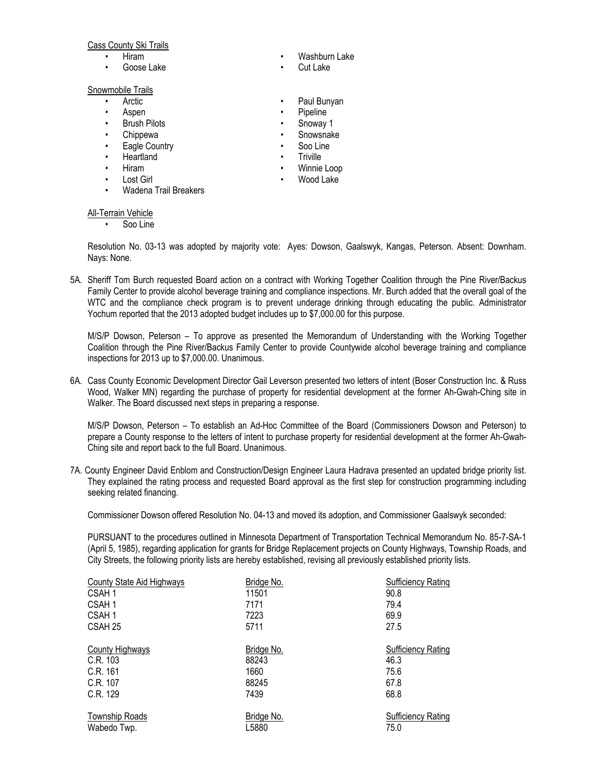### Cass County Ski Trails

- 
- 

## Snowmobile Trails

- 
- 
- Brush Pilots  **Snoway 1**
- 
- 
- 
- 
- 
- Wadena Trail Breakers

#### All-Terrain Vehicle

Soo Line

Resolution No. 03-13 was adopted by majority vote: Ayes: Dowson, Gaalswyk, Kangas, Peterson. Absent: Downham. Nays: None.

5A. Sheriff Tom Burch requested Board action on a contract with Working Together Coalition through the Pine River/Backus Family Center to provide alcohol beverage training and compliance inspections. Mr. Burch added that the overall goal of the WTC and the compliance check program is to prevent underage drinking through educating the public. Administrator Yochum reported that the 2013 adopted budget includes up to \$7,000.00 for this purpose.

M/S/P Dowson, Peterson – To approve as presented the Memorandum of Understanding with the Working Together Coalition through the Pine River/Backus Family Center to provide Countywide alcohol beverage training and compliance inspections for 2013 up to \$7,000.00. Unanimous.

6A. Cass County Economic Development Director Gail Leverson presented two letters of intent (Boser Construction Inc. & Russ Wood, Walker MN) regarding the purchase of property for residential development at the former Ah-Gwah-Ching site in Walker. The Board discussed next steps in preparing a response.

M/S/P Dowson, Peterson – To establish an Ad-Hoc Committee of the Board (Commissioners Dowson and Peterson) to prepare a County response to the letters of intent to purchase property for residential development at the former Ah-Gwah-Ching site and report back to the full Board. Unanimous.

7A. County Engineer David Enblom and Construction/Design Engineer Laura Hadrava presented an updated bridge priority list. They explained the rating process and requested Board approval as the first step for construction programming including seeking related financing.

Commissioner Dowson offered Resolution No. 04-13 and moved its adoption, and Commissioner Gaalswyk seconded:

PURSUANT to the procedures outlined in Minnesota Department of Transportation Technical Memorandum No. 85-7-SA-1 (April 5, 1985), regarding application for grants for Bridge Replacement projects on County Highways, Township Roads, and City Streets, the following priority lists are hereby established, revising all previously established priority lists.

| County State Aid Highways | Bridge No. | Sufficiency Rating        |
|---------------------------|------------|---------------------------|
| CSAH 1                    | 11501      | 90.8                      |
| CSAH 1                    | 7171       | 79.4                      |
| CSAH 1                    | 7223       | 69.9                      |
| CSAH 25                   | 5711       | 27.5                      |
|                           |            |                           |
| County Highways           | Bridge No. | <b>Sufficiency Rating</b> |
| C.R. 103                  | 88243      | 46.3                      |
| C.R. 161                  | 1660       | 75.6                      |
| C.R. 107                  | 88245      | 67.8                      |
| C.R. 129                  | 7439       | 68.8                      |
| <b>Township Roads</b>     | Bridge No. | <b>Sufficiency Rating</b> |
| Wabedo Twp.               | L5880      | 75.0                      |

- Hiram Washburn Lake
- Goose Lake Cut Lake
- Arctic Paul Bunyan
- Aspen Pipeline
	-
	- Chippewa Snowsnake
	- **Eagle Country Soo Line**
- Heartland **•** Triville
	- Hiram Winnie Loop
	- Lost Girl Wood Lake